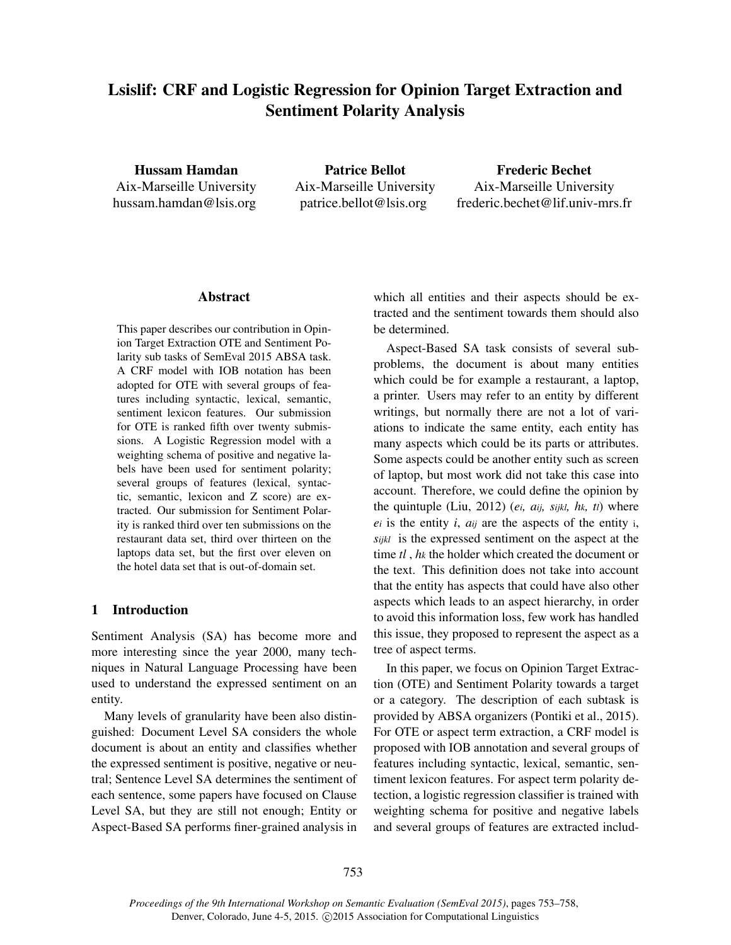# Lsislif: CRF and Logistic Regression for Opinion Target Extraction and Sentiment Polarity Analysis

Hussam Hamdan Aix-Marseille University hussam.hamdan@lsis.org

Patrice Bellot Aix-Marseille University patrice.bellot@lsis.org

Frederic Bechet Aix-Marseille University frederic.bechet@lif.univ-mrs.fr

## Abstract

This paper describes our contribution in Opinion Target Extraction OTE and Sentiment Polarity sub tasks of SemEval 2015 ABSA task. A CRF model with IOB notation has been adopted for OTE with several groups of features including syntactic, lexical, semantic, sentiment lexicon features. Our submission for OTE is ranked fifth over twenty submissions. A Logistic Regression model with a weighting schema of positive and negative labels have been used for sentiment polarity; several groups of features (lexical, syntactic, semantic, lexicon and Z score) are extracted. Our submission for Sentiment Polarity is ranked third over ten submissions on the restaurant data set, third over thirteen on the laptops data set, but the first over eleven on the hotel data set that is out-of-domain set.

## 1 Introduction

Sentiment Analysis (SA) has become more and more interesting since the year 2000, many techniques in Natural Language Processing have been used to understand the expressed sentiment on an entity.

Many levels of granularity have been also distinguished: Document Level SA considers the whole document is about an entity and classifies whether the expressed sentiment is positive, negative or neutral; Sentence Level SA determines the sentiment of each sentence, some papers have focused on Clause Level SA, but they are still not enough; Entity or Aspect-Based SA performs finer-grained analysis in which all entities and their aspects should be extracted and the sentiment towards them should also be determined.

Aspect-Based SA task consists of several subproblems, the document is about many entities which could be for example a restaurant, a laptop, a printer. Users may refer to an entity by different writings, but normally there are not a lot of variations to indicate the same entity, each entity has many aspects which could be its parts or attributes. Some aspects could be another entity such as screen of laptop, but most work did not take this case into account. Therefore, we could define the opinion by the quintuple (Liu, 2012) (*ei, aij, sijkl, hk, tl*) where *ei* is the entity *i*, *aij* are the aspects of the entity i, *sijkl* is the expressed sentiment on the aspect at the time *tl* , *hk* the holder which created the document or the text. This definition does not take into account that the entity has aspects that could have also other aspects which leads to an aspect hierarchy, in order to avoid this information loss, few work has handled this issue, they proposed to represent the aspect as a tree of aspect terms.

In this paper, we focus on Opinion Target Extraction (OTE) and Sentiment Polarity towards a target or a category. The description of each subtask is provided by ABSA organizers (Pontiki et al., 2015). For OTE or aspect term extraction, a CRF model is proposed with IOB annotation and several groups of features including syntactic, lexical, semantic, sentiment lexicon features. For aspect term polarity detection, a logistic regression classifier is trained with weighting schema for positive and negative labels and several groups of features are extracted includ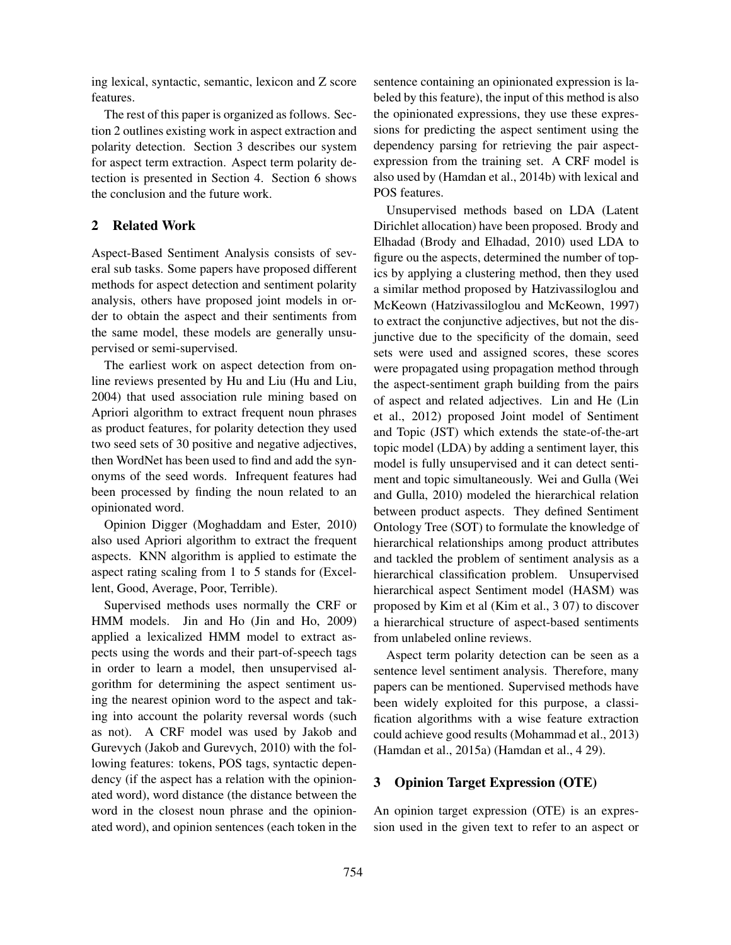ing lexical, syntactic, semantic, lexicon and Z score features.

The rest of this paper is organized as follows. Section 2 outlines existing work in aspect extraction and polarity detection. Section 3 describes our system for aspect term extraction. Aspect term polarity detection is presented in Section 4. Section 6 shows the conclusion and the future work.

# 2 Related Work

Aspect-Based Sentiment Analysis consists of several sub tasks. Some papers have proposed different methods for aspect detection and sentiment polarity analysis, others have proposed joint models in order to obtain the aspect and their sentiments from the same model, these models are generally unsupervised or semi-supervised.

The earliest work on aspect detection from online reviews presented by Hu and Liu (Hu and Liu, 2004) that used association rule mining based on Apriori algorithm to extract frequent noun phrases as product features, for polarity detection they used two seed sets of 30 positive and negative adjectives, then WordNet has been used to find and add the synonyms of the seed words. Infrequent features had been processed by finding the noun related to an opinionated word.

Opinion Digger (Moghaddam and Ester, 2010) also used Apriori algorithm to extract the frequent aspects. KNN algorithm is applied to estimate the aspect rating scaling from 1 to 5 stands for (Excellent, Good, Average, Poor, Terrible).

Supervised methods uses normally the CRF or HMM models. Jin and Ho (Jin and Ho, 2009) applied a lexicalized HMM model to extract aspects using the words and their part-of-speech tags in order to learn a model, then unsupervised algorithm for determining the aspect sentiment using the nearest opinion word to the aspect and taking into account the polarity reversal words (such as not). A CRF model was used by Jakob and Gurevych (Jakob and Gurevych, 2010) with the following features: tokens, POS tags, syntactic dependency (if the aspect has a relation with the opinionated word), word distance (the distance between the word in the closest noun phrase and the opinionated word), and opinion sentences (each token in the sentence containing an opinionated expression is labeled by this feature), the input of this method is also the opinionated expressions, they use these expressions for predicting the aspect sentiment using the dependency parsing for retrieving the pair aspectexpression from the training set. A CRF model is also used by (Hamdan et al., 2014b) with lexical and POS features.

Unsupervised methods based on LDA (Latent Dirichlet allocation) have been proposed. Brody and Elhadad (Brody and Elhadad, 2010) used LDA to figure ou the aspects, determined the number of topics by applying a clustering method, then they used a similar method proposed by Hatzivassiloglou and McKeown (Hatzivassiloglou and McKeown, 1997) to extract the conjunctive adjectives, but not the disjunctive due to the specificity of the domain, seed sets were used and assigned scores, these scores were propagated using propagation method through the aspect-sentiment graph building from the pairs of aspect and related adjectives. Lin and He (Lin et al., 2012) proposed Joint model of Sentiment and Topic (JST) which extends the state-of-the-art topic model (LDA) by adding a sentiment layer, this model is fully unsupervised and it can detect sentiment and topic simultaneously. Wei and Gulla (Wei and Gulla, 2010) modeled the hierarchical relation between product aspects. They defined Sentiment Ontology Tree (SOT) to formulate the knowledge of hierarchical relationships among product attributes and tackled the problem of sentiment analysis as a hierarchical classification problem. Unsupervised hierarchical aspect Sentiment model (HASM) was proposed by Kim et al (Kim et al., 3 07) to discover a hierarchical structure of aspect-based sentiments from unlabeled online reviews.

Aspect term polarity detection can be seen as a sentence level sentiment analysis. Therefore, many papers can be mentioned. Supervised methods have been widely exploited for this purpose, a classification algorithms with a wise feature extraction could achieve good results (Mohammad et al., 2013) (Hamdan et al., 2015a) (Hamdan et al., 4 29).

## 3 Opinion Target Expression (OTE)

An opinion target expression (OTE) is an expression used in the given text to refer to an aspect or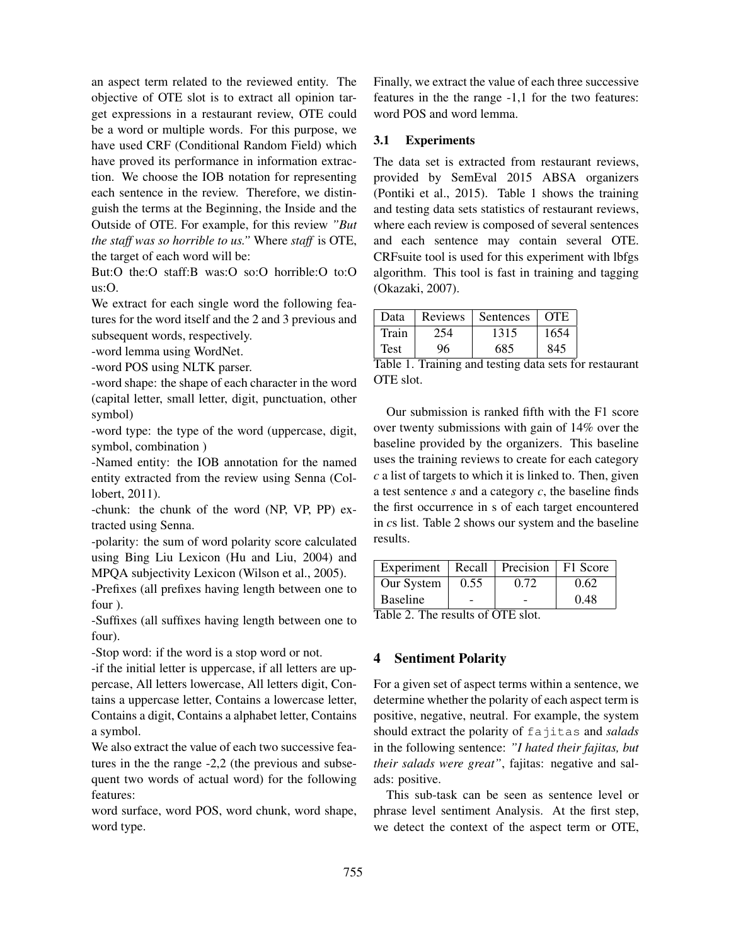an aspect term related to the reviewed entity. The objective of OTE slot is to extract all opinion target expressions in a restaurant review, OTE could be a word or multiple words. For this purpose, we have used CRF (Conditional Random Field) which have proved its performance in information extraction. We choose the IOB notation for representing each sentence in the review. Therefore, we distinguish the terms at the Beginning, the Inside and the Outside of OTE. For example, for this review *"But the staff was so horrible to us."* Where *staff* is OTE, the target of each word will be:

But:O the:O staff:B was:O so:O horrible:O to:O us:O.

We extract for each single word the following features for the word itself and the 2 and 3 previous and subsequent words, respectively.

-word lemma using WordNet.

-word POS using NLTK parser.

-word shape: the shape of each character in the word (capital letter, small letter, digit, punctuation, other symbol)

-word type: the type of the word (uppercase, digit, symbol, combination )

-Named entity: the IOB annotation for the named entity extracted from the review using Senna (Collobert, 2011).

-chunk: the chunk of the word (NP, VP, PP) extracted using Senna.

-polarity: the sum of word polarity score calculated using Bing Liu Lexicon (Hu and Liu, 2004) and MPQA subjectivity Lexicon (Wilson et al., 2005).

-Prefixes (all prefixes having length between one to four ).

-Suffixes (all suffixes having length between one to four).

-Stop word: if the word is a stop word or not.

-if the initial letter is uppercase, if all letters are uppercase, All letters lowercase, All letters digit, Contains a uppercase letter, Contains a lowercase letter, Contains a digit, Contains a alphabet letter, Contains a symbol.

We also extract the value of each two successive features in the the range -2,2 (the previous and subsequent two words of actual word) for the following features:

word surface, word POS, word chunk, word shape, word type.

Finally, we extract the value of each three successive features in the the range -1,1 for the two features: word POS and word lemma.

## 3.1 Experiments

The data set is extracted from restaurant reviews, provided by SemEval 2015 ABSA organizers (Pontiki et al., 2015). Table 1 shows the training and testing data sets statistics of restaurant reviews, where each review is composed of several sentences and each sentence may contain several OTE. CRFsuite tool is used for this experiment with lbfgs algorithm. This tool is fast in training and tagging (Okazaki, 2007).

| Data  | Reviews | <b>Sentences</b> | <b>OTE</b> |
|-------|---------|------------------|------------|
| Train | 254     | 1315             | 1654       |
| Test  | 96      | 685              | 845        |

Table 1. Training and testing data sets for restaurant OTE slot.

Our submission is ranked fifth with the F1 score over twenty submissions with gain of 14% over the baseline provided by the organizers. This baseline uses the training reviews to create for each category *c* a list of targets to which it is linked to. Then, given a test sentence *s* and a category *c*, the baseline finds the first occurrence in s of each target encountered in *c*s list. Table 2 shows our system and the baseline results.

|                 |      | Experiment   Recall   Precision   F1 Score |      |
|-----------------|------|--------------------------------------------|------|
| Our System      | 0.55 | 0.72                                       | 0.62 |
| <b>Baseline</b> |      |                                            | 0.48 |

Table 2. The results of OTE slot.

# 4 Sentiment Polarity

For a given set of aspect terms within a sentence, we determine whether the polarity of each aspect term is positive, negative, neutral. For example, the system should extract the polarity of fajitas and *salads* in the following sentence: *"I hated their fajitas, but their salads were great"*, fajitas: negative and salads: positive.

This sub-task can be seen as sentence level or phrase level sentiment Analysis. At the first step, we detect the context of the aspect term or OTE,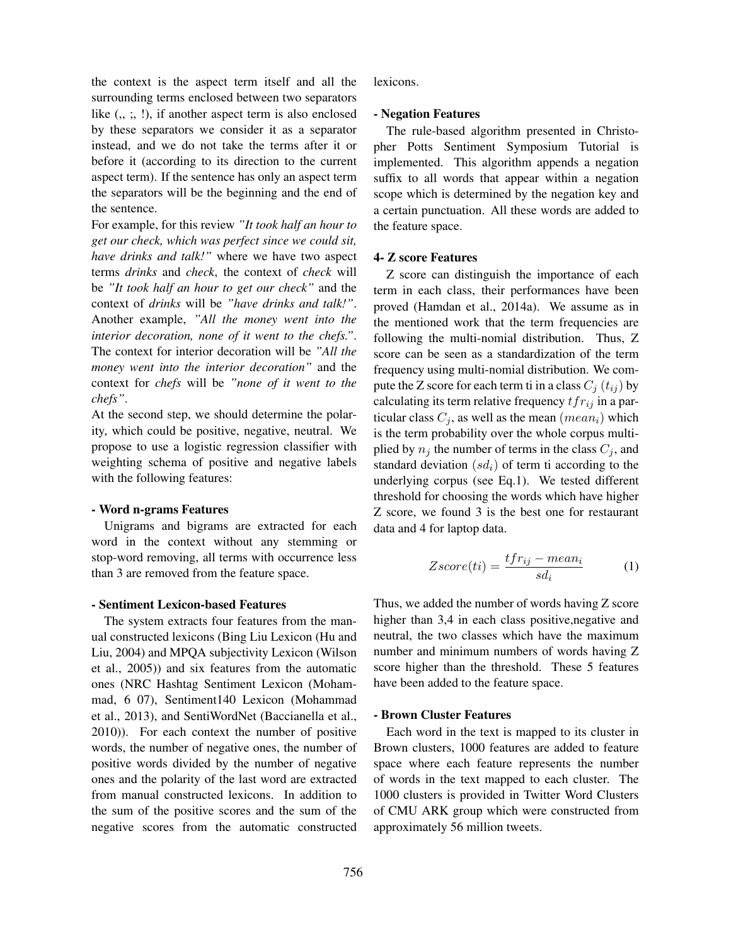the context is the aspect term itself and all the surrounding terms enclosed between two separators like  $($ ,  $;$ ,  $)$ , if another aspect term is also enclosed by these separators we consider it as a separator instead, and we do not take the terms after it or before it (according to its direction to the current aspect term). If the sentence has only an aspect term the separators will be the beginning and the end of the sentence.

For example, for this review *"It took half an hour to get our check, which was perfect since we could sit, have drinks and talk!"* where we have two aspect terms *drinks* and *check*, the context of *check* will be *"It took half an hour to get our check"* and the context of *drinks* will be *"have drinks and talk!"*. Another example, *"All the money went into the interior decoration, none of it went to the chefs."*. The context for interior decoration will be *"All the money went into the interior decoration"* and the context for *chefs* will be *"none of it went to the chefs"*.

At the second step, we should determine the polarity, which could be positive, negative, neutral. We propose to use a logistic regression classifier with weighting schema of positive and negative labels with the following features:

#### - Word n-grams Features

Unigrams and bigrams are extracted for each word in the context without any stemming or stop-word removing, all terms with occurrence less than 3 are removed from the feature space.

### - Sentiment Lexicon-based Features

The system extracts four features from the manual constructed lexicons (Bing Liu Lexicon (Hu and Liu, 2004) and MPQA subjectivity Lexicon (Wilson et al., 2005)) and six features from the automatic ones (NRC Hashtag Sentiment Lexicon (Mohammad, 6 07), Sentiment140 Lexicon (Mohammad et al., 2013), and SentiWordNet (Baccianella et al., 2010)). For each context the number of positive words, the number of negative ones, the number of positive words divided by the number of negative ones and the polarity of the last word are extracted from manual constructed lexicons. In addition to the sum of the positive scores and the sum of the negative scores from the automatic constructed lexicons.

#### - Negation Features

The rule-based algorithm presented in Christopher Potts Sentiment Symposium Tutorial is implemented. This algorithm appends a negation suffix to all words that appear within a negation scope which is determined by the negation key and a certain punctuation. All these words are added to the feature space.

#### 4- Z score Features

Z score can distinguish the importance of each term in each class, their performances have been proved (Hamdan et al., 2014a). We assume as in the mentioned work that the term frequencies are following the multi-nomial distribution. Thus, Z score can be seen as a standardization of the term frequency using multi-nomial distribution. We compute the Z score for each term ti in a class  $C_i(t_{ij})$  by calculating its term relative frequency  $tfr_{ij}$  in a particular class  $C_j$ , as well as the mean  $(mean_i)$  which is the term probability over the whole corpus multiplied by  $n_j$  the number of terms in the class  $C_j$ , and standard deviation  $(s_d)$  of term ti according to the underlying corpus (see Eq.1). We tested different threshold for choosing the words which have higher Z score, we found 3 is the best one for restaurant data and 4 for laptop data.

$$
Zscore(ti) = \frac{tfr_{ij} - mean_i}{sd_i} \tag{1}
$$

Thus, we added the number of words having Z score higher than 3,4 in each class positive, negative and neutral, the two classes which have the maximum number and minimum numbers of words having Z score higher than the threshold. These 5 features have been added to the feature space.

#### - Brown Cluster Features

Each word in the text is mapped to its cluster in Brown clusters, 1000 features are added to feature space where each feature represents the number of words in the text mapped to each cluster. The 1000 clusters is provided in Twitter Word Clusters of CMU ARK group which were constructed from approximately 56 million tweets.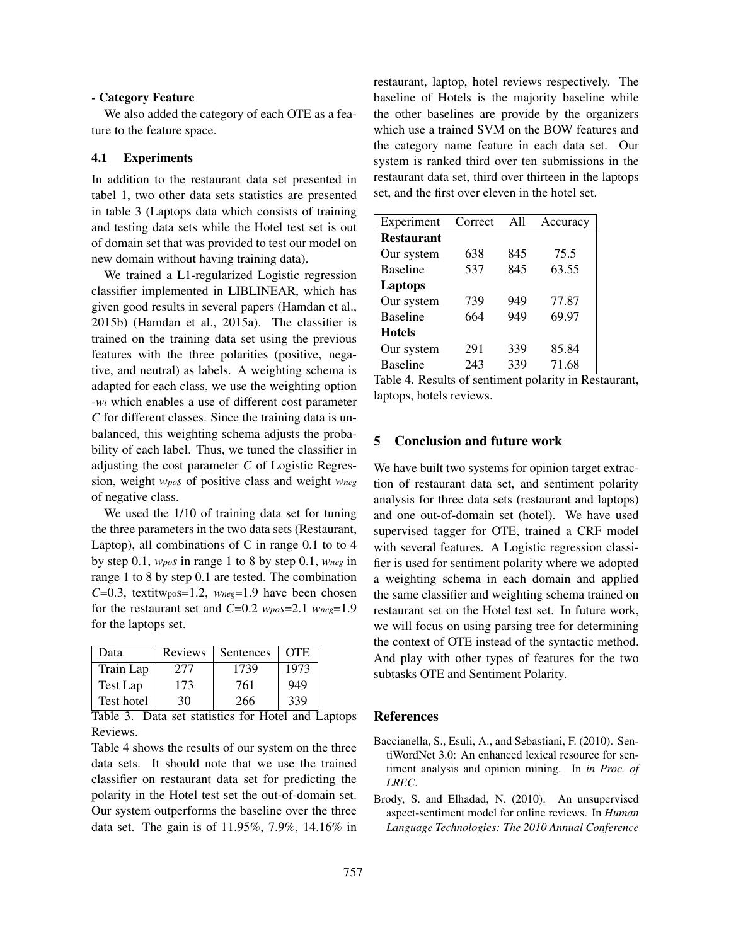## - Category Feature

We also added the category of each OTE as a feature to the feature space.

## 4.1 Experiments

In addition to the restaurant data set presented in tabel 1, two other data sets statistics are presented in table 3 (Laptops data which consists of training and testing data sets while the Hotel test set is out of domain set that was provided to test our model on new domain without having training data).

We trained a L1-regularized Logistic regression classifier implemented in LIBLINEAR, which has given good results in several papers (Hamdan et al., 2015b) (Hamdan et al., 2015a). The classifier is trained on the training data set using the previous features with the three polarities (positive, negative, and neutral) as labels. A weighting schema is adapted for each class, we use the weighting option *-wi* which enables a use of different cost parameter *C* for different classes. Since the training data is unbalanced, this weighting schema adjusts the probability of each label. Thus, we tuned the classifier in adjusting the cost parameter *C* of Logistic Regression, weight *wpos* of positive class and weight *wneg* of negative class.

We used the  $1/10$  of training data set for tuning the three parameters in the two data sets (Restaurant, Laptop), all combinations of C in range 0.1 to to 4 by step 0.1, *wpos* in range 1 to 8 by step 0.1, *wneg* in range 1 to 8 by step 0.1 are tested. The combination *C*=0.3, textitwpos=1.2, *wneg*=1.9 have been chosen for the restaurant set and *C*=0.2 *wpos*=2.1 *wneg*=1.9 for the laptops set.

| Data       | <b>Reviews</b> | Sentences | <b>OTE</b> |
|------------|----------------|-----------|------------|
| Train Lap  | 277            | 1739      | 1973       |
| Test Lap   | 173            | 761       | 949        |
| Test hotel | 30             | 266       | 339        |

Table 3. Data set statistics for Hotel and Laptops Reviews.

Table 4 shows the results of our system on the three data sets. It should note that we use the trained classifier on restaurant data set for predicting the polarity in the Hotel test set the out-of-domain set. Our system outperforms the baseline over the three data set. The gain is of 11.95%, 7.9%, 14.16% in restaurant, laptop, hotel reviews respectively. The baseline of Hotels is the majority baseline while the other baselines are provide by the organizers which use a trained SVM on the BOW features and the category name feature in each data set. Our system is ranked third over ten submissions in the restaurant data set, third over thirteen in the laptops set, and the first over eleven in the hotel set.

| Experiment        | Correct | All | Accuracy |
|-------------------|---------|-----|----------|
| <b>Restaurant</b> |         |     |          |
| Our system        | 638     | 845 | 75.5     |
| <b>Baseline</b>   | 537     | 845 | 63.55    |
| Laptops           |         |     |          |
| Our system        | 739     | 949 | 77.87    |
| <b>Baseline</b>   | 664     | 949 | 69.97    |
| <b>Hotels</b>     |         |     |          |
| Our system        | 291     | 339 | 85.84    |
| <b>Baseline</b>   | 243     | 339 | 71.68    |

Table 4. Results of sentiment polarity in Restaurant, laptops, hotels reviews.

# 5 Conclusion and future work

We have built two systems for opinion target extraction of restaurant data set, and sentiment polarity analysis for three data sets (restaurant and laptops) and one out-of-domain set (hotel). We have used supervised tagger for OTE, trained a CRF model with several features. A Logistic regression classifier is used for sentiment polarity where we adopted a weighting schema in each domain and applied the same classifier and weighting schema trained on restaurant set on the Hotel test set. In future work, we will focus on using parsing tree for determining the context of OTE instead of the syntactic method. And play with other types of features for the two subtasks OTE and Sentiment Polarity.

#### References

- Baccianella, S., Esuli, A., and Sebastiani, F. (2010). SentiWordNet 3.0: An enhanced lexical resource for sentiment analysis and opinion mining. In *in Proc. of LREC*.
- Brody, S. and Elhadad, N. (2010). An unsupervised aspect-sentiment model for online reviews. In *Human Language Technologies: The 2010 Annual Conference*